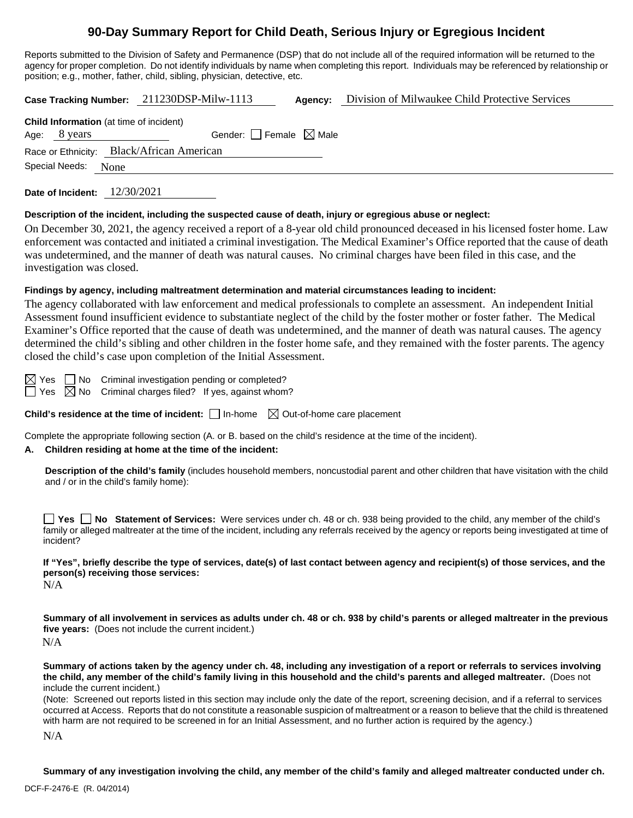# **90-Day Summary Report for Child Death, Serious Injury or Egregious Incident**

Reports submitted to the Division of Safety and Permanence (DSP) that do not include all of the required information will be returned to the agency for proper completion. Do not identify individuals by name when completing this report. Individuals may be referenced by relationship or position; e.g., mother, father, child, sibling, physician, detective, etc.

**Case Tracking Number:** 211230DSP-Milw-1113 **Agency:** Division of Milwaukee Child Protective Services

| <b>Child Information</b> (at time of incident) |                                           |  |  |  |
|------------------------------------------------|-------------------------------------------|--|--|--|
| Age: 8 years                                   | Gender: $\Box$ Female $\boxtimes$ Male    |  |  |  |
|                                                | Race or Ethnicity: Black/African American |  |  |  |
| Special Needs: None                            |                                           |  |  |  |
|                                                |                                           |  |  |  |

**Date of Incident:** 12/30/2021

### **Description of the incident, including the suspected cause of death, injury or egregious abuse or neglect:**

On December 30, 2021, the agency received a report of a 8-year old child pronounced deceased in his licensed foster home. Law enforcement was contacted and initiated a criminal investigation. The Medical Examiner's Office reported that the cause of death was undetermined, and the manner of death was natural causes. No criminal charges have been filed in this case, and the investigation was closed.

### **Findings by agency, including maltreatment determination and material circumstances leading to incident:**

The agency collaborated with law enforcement and medical professionals to complete an assessment. An independent Initial Assessment found insufficient evidence to substantiate neglect of the child by the foster mother or foster father. The Medical Examiner's Office reported that the cause of death was undetermined, and the manner of death was natural causes. The agency determined the child's sibling and other children in the foster home safe, and they remained with the foster parents. The agency closed the child's case upon completion of the Initial Assessment.

 $\boxtimes$  Yes  $\Box$  No Criminal investigation pending or completed?

 $\Box$  Yes  $\Box$  No Criminal charges filed? If yes, against whom?

**Child's residence at the time of incident:**  $\Box$  In-home  $\Box$  Out-of-home care placement

Complete the appropriate following section (A. or B. based on the child's residence at the time of the incident).

### **A. Children residing at home at the time of the incident:**

**Description of the child's family** (includes household members, noncustodial parent and other children that have visitation with the child and / or in the child's family home):

**Yes No Statement of Services:** Were services under ch. 48 or ch. 938 being provided to the child, any member of the child's family or alleged maltreater at the time of the incident, including any referrals received by the agency or reports being investigated at time of incident?

**If "Yes", briefly describe the type of services, date(s) of last contact between agency and recipient(s) of those services, and the person(s) receiving those services:**

N/A

**Summary of all involvement in services as adults under ch. 48 or ch. 938 by child's parents or alleged maltreater in the previous five years:** (Does not include the current incident.) N/A

**Summary of actions taken by the agency under ch. 48, including any investigation of a report or referrals to services involving the child, any member of the child's family living in this household and the child's parents and alleged maltreater.** (Does not include the current incident.)

(Note: Screened out reports listed in this section may include only the date of the report, screening decision, and if a referral to services occurred at Access. Reports that do not constitute a reasonable suspicion of maltreatment or a reason to believe that the child is threatened with harm are not required to be screened in for an Initial Assessment, and no further action is required by the agency.)

N/A

**Summary of any investigation involving the child, any member of the child's family and alleged maltreater conducted under ch.**